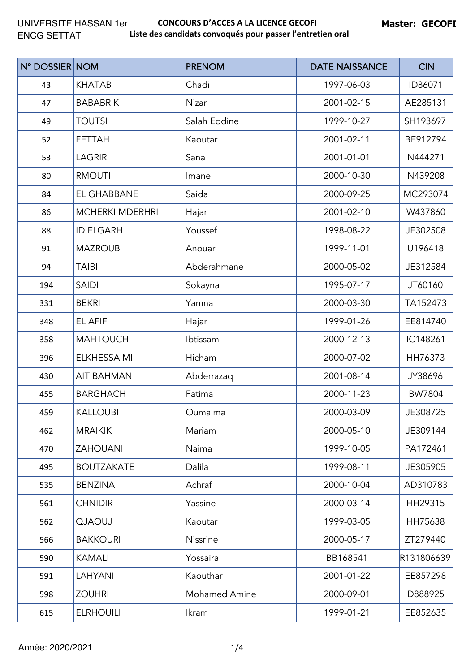| N° DOSSIER NOM |                        | <b>PRENOM</b>        | <b>DATE NAISSANCE</b> | <b>CIN</b> |
|----------------|------------------------|----------------------|-----------------------|------------|
| 43             | <b>KHATAB</b>          | Chadi                | 1997-06-03            | ID86071    |
| 47             | <b>BABABRIK</b>        | Nizar                | 2001-02-15            | AE285131   |
| 49             | <b>TOUTSI</b>          | Salah Eddine         | 1999-10-27            | SH193697   |
| 52             | <b>FETTAH</b>          | Kaoutar              | 2001-02-11            | BE912794   |
| 53             | <b>LAGRIRI</b>         | Sana                 | 2001-01-01            | N444271    |
| 80             | <b>RMOUTI</b>          | Imane                | 2000-10-30            | N439208    |
| 84             | EL GHABBANE            | Saida                | 2000-09-25            | MC293074   |
| 86             | <b>MCHERKI MDERHRI</b> | Hajar                | 2001-02-10            | W437860    |
| 88             | <b>ID ELGARH</b>       | Youssef              | 1998-08-22            | JE302508   |
| 91             | <b>MAZROUB</b>         | Anouar               | 1999-11-01            | U196418    |
| 94             | <b>TAIBI</b>           | Abderahmane          | 2000-05-02            | JE312584   |
| 194            | <b>SAIDI</b>           | Sokayna              | 1995-07-17            | JT60160    |
| 331            | <b>BEKRI</b>           | Yamna                | 2000-03-30            | TA152473   |
| 348            | EL AFIF                | Hajar                | 1999-01-26            | EE814740   |
| 358            | <b>MAHTOUCH</b>        | Ibtissam             | 2000-12-13            | IC148261   |
| 396            | <b>ELKHESSAIMI</b>     | Hicham               | 2000-07-02            | HH76373    |
| 430            | <b>AIT BAHMAN</b>      | Abderrazaq           | 2001-08-14            | JY38696    |
| 455            | <b>BARGHACH</b>        | Fatima               | 2000-11-23            | BW7804     |
| 459            | <b>KALLOUBI</b>        | Oumaima              | 2000-03-09            | JE308725   |
| 462            | <b>MRAIKIK</b>         | Mariam               | 2000-05-10            | JE309144   |
| 470            | <b>ZAHOUANI</b>        | Naima                | 1999-10-05            | PA172461   |
| 495            | <b>BOUTZAKATE</b>      | Dalila               | 1999-08-11            | JE305905   |
| 535            | <b>BENZINA</b>         | Achraf               | 2000-10-04            | AD310783   |
| 561            | <b>CHNIDIR</b>         | Yassine              | 2000-03-14            | HH29315    |
| 562            | <b>LUOALO</b>          | Kaoutar              | 1999-03-05            | HH75638    |
| 566            | <b>BAKKOURI</b>        | Nissrine             | 2000-05-17            | ZT279440   |
| 590            | <b>KAMALI</b>          | Yossaira             | BB168541              | R131806639 |
| 591            | LAHYANI                | Kaouthar             | 2001-01-22            | EE857298   |
| 598            | <b>ZOUHRI</b>          | <b>Mohamed Amine</b> | 2000-09-01            | D888925    |
| 615            | <b>ELRHOUILI</b>       | Ikram                | 1999-01-21            | EE852635   |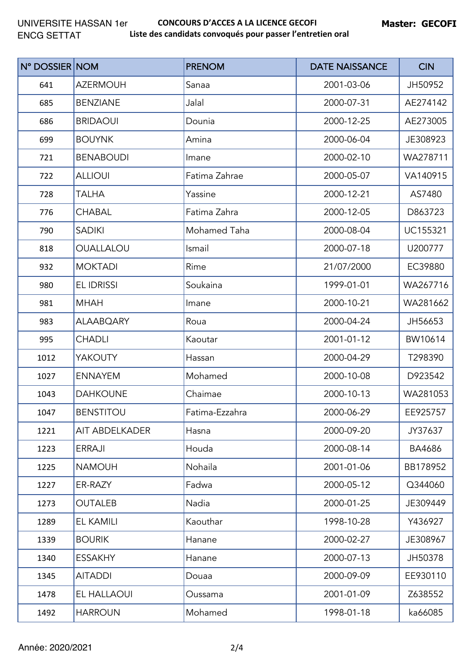| N° DOSSIER NOM |                       | <b>PRENOM</b>  | <b>DATE NAISSANCE</b> | <b>CIN</b> |
|----------------|-----------------------|----------------|-----------------------|------------|
| 641            | <b>AZERMOUH</b>       | Sanaa          | 2001-03-06            | JH50952    |
| 685            | <b>BENZIANE</b>       | Jalal          | 2000-07-31            | AE274142   |
| 686            | <b>BRIDAOUI</b>       | Dounia         | 2000-12-25            | AE273005   |
| 699            | <b>BOUYNK</b>         | Amina          | 2000-06-04            | JE308923   |
| 721            | <b>BENABOUDI</b>      | Imane          | 2000-02-10            | WA278711   |
| 722            | <b>ALLIOUI</b>        | Fatima Zahrae  | 2000-05-07            | VA140915   |
| 728            | <b>TALHA</b>          | Yassine        | 2000-12-21            | AS7480     |
| 776            | <b>CHABAL</b>         | Fatima Zahra   | 2000-12-05            | D863723    |
| 790            | <b>SADIKI</b>         | Mohamed Taha   | 2000-08-04            | UC155321   |
| 818            | OUALLALOU             | Ismail         | 2000-07-18            | U200777    |
| 932            | <b>MOKTADI</b>        | Rime           | 21/07/2000            | EC39880    |
| 980            | <b>EL IDRISSI</b>     | Soukaina       | 1999-01-01            | WA267716   |
| 981            | <b>MHAH</b>           | Imane          | 2000-10-21            | WA281662   |
| 983            | <b>ALAABQARY</b>      | Roua           | 2000-04-24            | JH56653    |
| 995            | <b>CHADLI</b>         | Kaoutar        | 2001-01-12            | BW10614    |
| 1012           | <b>YAKOUTY</b>        | Hassan         | 2000-04-29            | T298390    |
| 1027           | <b>ENNAYEM</b>        | Mohamed        | 2000-10-08            | D923542    |
| 1043           | <b>DAHKOUNE</b>       | Chaimae        | 2000-10-13            | WA281053   |
| 1047           | <b>BENSTITOU</b>      | Fatima-Ezzahra | 2000-06-29            | EE925757   |
| 1221           | <b>AIT ABDELKADER</b> | Hasna          | 2000-09-20            | JY37637    |
| 1223           | <b>ERRAJI</b>         | Houda          | 2000-08-14            | BA4686     |
| 1225           | <b>NAMOUH</b>         | Nohaila        | 2001-01-06            | BB178952   |
| 1227           | ER-RAZY               | Fadwa          | 2000-05-12            | Q344060    |
| 1273           | <b>OUTALEB</b>        | Nadia          | 2000-01-25            | JE309449   |
| 1289           | <b>EL KAMILI</b>      | Kaouthar       | 1998-10-28            | Y436927    |
| 1339           | <b>BOURIK</b>         | Hanane         | 2000-02-27            | JE308967   |
| 1340           | <b>ESSAKHY</b>        | Hanane         | 2000-07-13            | JH50378    |
| 1345           | <b>AITADDI</b>        | Douaa          | 2000-09-09            | EE930110   |
| 1478           | EL HALLAOUI           | Oussama        | 2001-01-09            | Z638552    |
| 1492           | <b>HARROUN</b>        | Mohamed        | 1998-01-18            | ka66085    |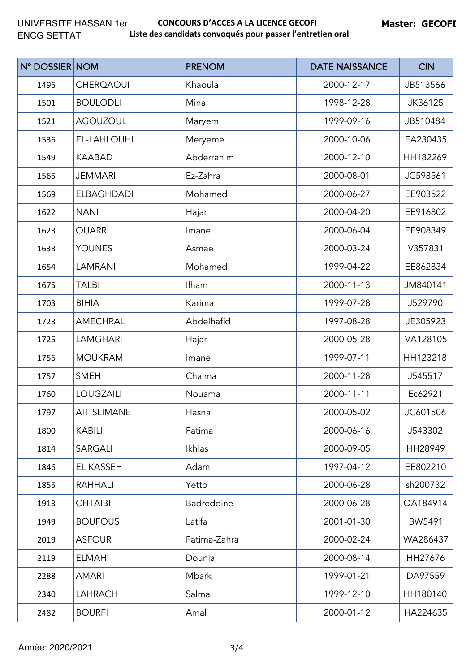| N° DOSSIER NOM |                    | <b>PRENOM</b> | <b>DATE NAISSANCE</b> | <b>CIN</b> |
|----------------|--------------------|---------------|-----------------------|------------|
| 1496           | <b>CHERQAOUI</b>   | Khaoula       | 2000-12-17            | JB513566   |
| 1501           | <b>BOULODLI</b>    | Mina          | 1998-12-28            | JK36125    |
| 1521           | <b>AGOUZOUL</b>    | Maryem        | 1999-09-16            | JB510484   |
| 1536           | EL-LAHLOUHI        | Meryeme       | 2000-10-06            | EA230435   |
| 1549           | <b>KAABAD</b>      | Abderrahim    | 2000-12-10            | HH182269   |
| 1565           | <b>JEMMARI</b>     | Ez-Zahra      | 2000-08-01            | JC598561   |
| 1569           | <b>ELBAGHDADI</b>  | Mohamed       | 2000-06-27            | EE903522   |
| 1622           | <b>NANI</b>        | Hajar         | 2000-04-20            | EE916802   |
| 1623           | <b>OUARRI</b>      | Imane         | 2000-06-04            | EE908349   |
| 1638           | <b>YOUNES</b>      | Asmae         | 2000-03-24            | V357831    |
| 1654           | <b>LAMRANI</b>     | Mohamed       | 1999-04-22            | EE862834   |
| 1675           | TALBI              | Ilham         | 2000-11-13            | JM840141   |
| 1703           | <b>BIHIA</b>       | Karima        | 1999-07-28            | J529790    |
| 1723           | <b>AMECHRAL</b>    | Abdelhafid    | 1997-08-28            | JE305923   |
| 1725           | <b>LAMGHARI</b>    | Hajar         | 2000-05-28            | VA128105   |
| 1756           | <b>MOUKRAM</b>     | Imane         | 1999-07-11            | HH123218   |
| 1757           | <b>SMEH</b>        | Chaima        | 2000-11-28            | J545517    |
| 1760           | <b>LOUGZAILI</b>   | Nouama        | 2000-11-11            | Ec62921    |
| 1797           | <b>AIT SLIMANE</b> | Hasna         | 2000-05-02            | JC601506   |
| 1800           | <b>KABILI</b>      | Fatima        | 2000-06-16            | J543302    |
| 1814           | SARGALI            | Ikhlas        | 2000-09-05            | HH28949    |
| 1846           | EL KASSEH          | Adam          | 1997-04-12            | EE802210   |
| 1855           | <b>RAHHALI</b>     | Yetto         | 2000-06-28            | sh200732   |
| 1913           | <b>CHTAIBI</b>     | Badreddine    | 2000-06-28            | QA184914   |
| 1949           | <b>BOUFOUS</b>     | Latifa        | 2001-01-30            | BW5491     |
| 2019           | <b>ASFOUR</b>      | Fatima-Zahra  | 2000-02-24            | WA286437   |
| 2119           | <b>ELMAHI</b>      | Dounia        | 2000-08-14            | HH27676    |
| 2288           | <b>AMARI</b>       | Mbark         | 1999-01-21            | DA97559    |
| 2340           | <b>LAHRACH</b>     | Salma         | 1999-12-10            | HH180140   |
| 2482           | <b>BOURFI</b>      | Amal          | 2000-01-12            | HA224635   |